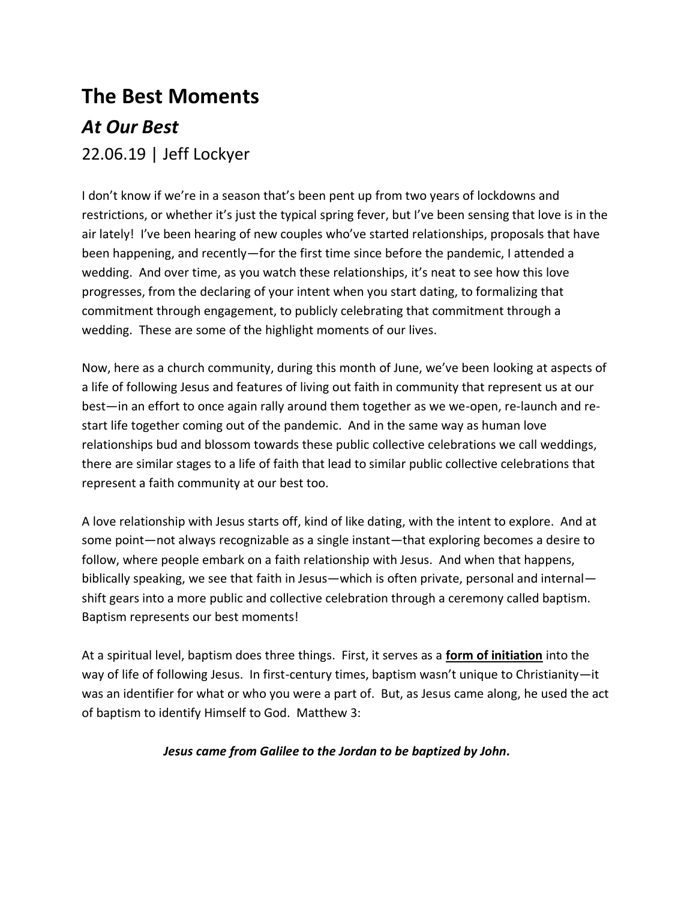## **The Best Moments** *At Our Best*

## 22.06.19 | Jeff Lockyer

I don't know if we're in a season that's been pent up from two years of lockdowns and restrictions, or whether it's just the typical spring fever, but I've been sensing that love is in the air lately! I've been hearing of new couples who've started relationships, proposals that have been happening, and recently—for the first time since before the pandemic, I attended a wedding. And over time, as you watch these relationships, it's neat to see how this love progresses, from the declaring of your intent when you start dating, to formalizing that commitment through engagement, to publicly celebrating that commitment through a wedding. These are some of the highlight moments of our lives.

Now, here as a church community, during this month of June, we've been looking at aspects of a life of following Jesus and features of living out faith in community that represent us at our best—in an effort to once again rally around them together as we we-open, re-launch and restart life together coming out of the pandemic. And in the same way as human love relationships bud and blossom towards these public collective celebrations we call weddings, there are similar stages to a life of faith that lead to similar public collective celebrations that represent a faith community at our best too.

A love relationship with Jesus starts off, kind of like dating, with the intent to explore. And at some point—not always recognizable as a single instant—that exploring becomes a desire to follow, where people embark on a faith relationship with Jesus. And when that happens, biblically speaking, we see that faith in Jesus—which is often private, personal and internal shift gears into a more public and collective celebration through a ceremony called baptism. Baptism represents our best moments!

At a spiritual level, baptism does three things. First, it serves as a **form of initiation** into the way of life of following Jesus. In first-century times, baptism wasn't unique to Christianity—it was an identifier for what or who you were a part of. But, as Jesus came along, he used the act of baptism to identify Himself to God. Matthew 3:

## *Jesus came from Galilee to the Jordan to be baptized by John.*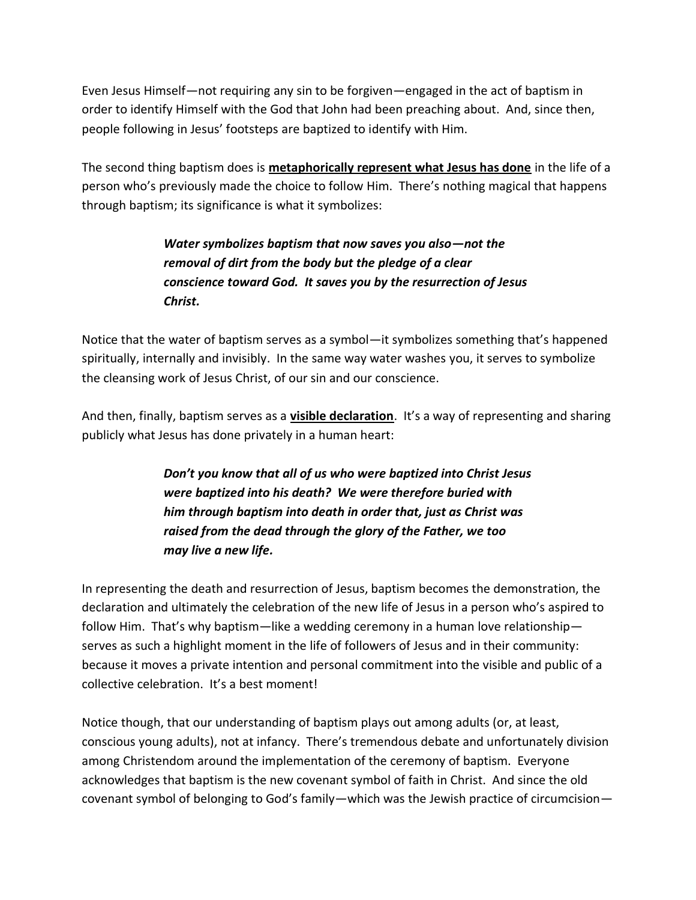Even Jesus Himself—not requiring any sin to be forgiven—engaged in the act of baptism in order to identify Himself with the God that John had been preaching about. And, since then, people following in Jesus' footsteps are baptized to identify with Him.

The second thing baptism does is **metaphorically represent what Jesus has done** in the life of a person who's previously made the choice to follow Him. There's nothing magical that happens through baptism; its significance is what it symbolizes:

> *Water symbolizes baptism that now saves you also—not the removal of dirt from the body but the pledge of a clear conscience toward God. It saves you by the resurrection of Jesus Christ.*

Notice that the water of baptism serves as a symbol—it symbolizes something that's happened spiritually, internally and invisibly. In the same way water washes you, it serves to symbolize the cleansing work of Jesus Christ, of our sin and our conscience.

And then, finally, baptism serves as a **visible declaration**. It's a way of representing and sharing publicly what Jesus has done privately in a human heart:

> *Don't you know that all of us who were baptized into Christ Jesus were baptized into his death? We were therefore buried with him through baptism into death in order that, just as Christ was raised from the dead through the glory of the Father, we too may live a new life.*

In representing the death and resurrection of Jesus, baptism becomes the demonstration, the declaration and ultimately the celebration of the new life of Jesus in a person who's aspired to follow Him. That's why baptism—like a wedding ceremony in a human love relationship serves as such a highlight moment in the life of followers of Jesus and in their community: because it moves a private intention and personal commitment into the visible and public of a collective celebration. It's a best moment!

Notice though, that our understanding of baptism plays out among adults (or, at least, conscious young adults), not at infancy. There's tremendous debate and unfortunately division among Christendom around the implementation of the ceremony of baptism. Everyone acknowledges that baptism is the new covenant symbol of faith in Christ. And since the old covenant symbol of belonging to God's family—which was the Jewish practice of circumcision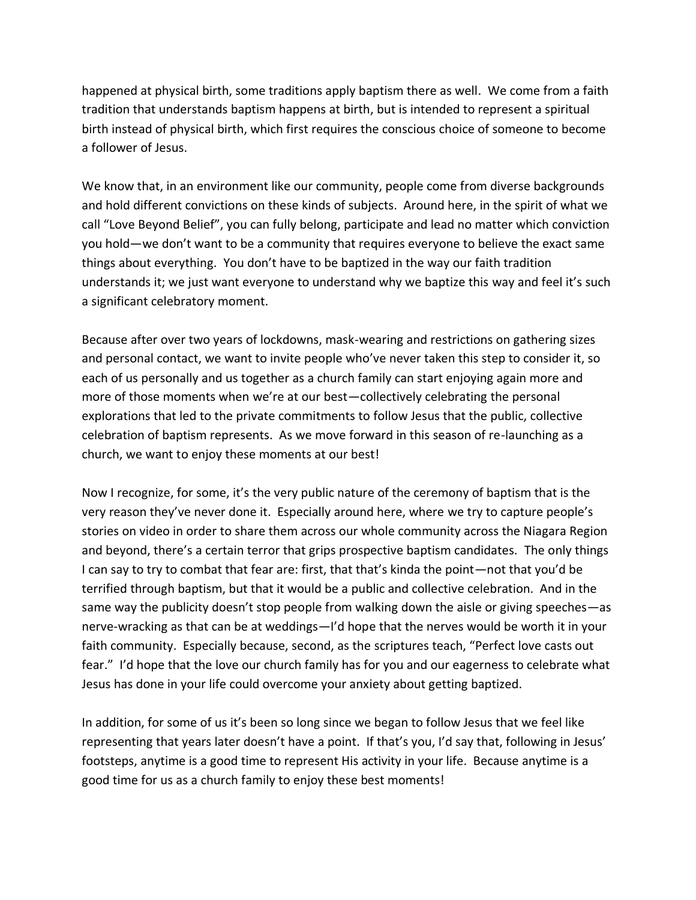happened at physical birth, some traditions apply baptism there as well. We come from a faith tradition that understands baptism happens at birth, but is intended to represent a spiritual birth instead of physical birth, which first requires the conscious choice of someone to become a follower of Jesus.

We know that, in an environment like our community, people come from diverse backgrounds and hold different convictions on these kinds of subjects. Around here, in the spirit of what we call "Love Beyond Belief", you can fully belong, participate and lead no matter which conviction you hold—we don't want to be a community that requires everyone to believe the exact same things about everything. You don't have to be baptized in the way our faith tradition understands it; we just want everyone to understand why we baptize this way and feel it's such a significant celebratory moment.

Because after over two years of lockdowns, mask-wearing and restrictions on gathering sizes and personal contact, we want to invite people who've never taken this step to consider it, so each of us personally and us together as a church family can start enjoying again more and more of those moments when we're at our best—collectively celebrating the personal explorations that led to the private commitments to follow Jesus that the public, collective celebration of baptism represents. As we move forward in this season of re-launching as a church, we want to enjoy these moments at our best!

Now I recognize, for some, it's the very public nature of the ceremony of baptism that is the very reason they've never done it. Especially around here, where we try to capture people's stories on video in order to share them across our whole community across the Niagara Region and beyond, there's a certain terror that grips prospective baptism candidates. The only things I can say to try to combat that fear are: first, that that's kinda the point—not that you'd be terrified through baptism, but that it would be a public and collective celebration. And in the same way the publicity doesn't stop people from walking down the aisle or giving speeches—as nerve-wracking as that can be at weddings—I'd hope that the nerves would be worth it in your faith community. Especially because, second, as the scriptures teach, "Perfect love casts out fear." I'd hope that the love our church family has for you and our eagerness to celebrate what Jesus has done in your life could overcome your anxiety about getting baptized.

In addition, for some of us it's been so long since we began to follow Jesus that we feel like representing that years later doesn't have a point. If that's you, I'd say that, following in Jesus' footsteps, anytime is a good time to represent His activity in your life. Because anytime is a good time for us as a church family to enjoy these best moments!